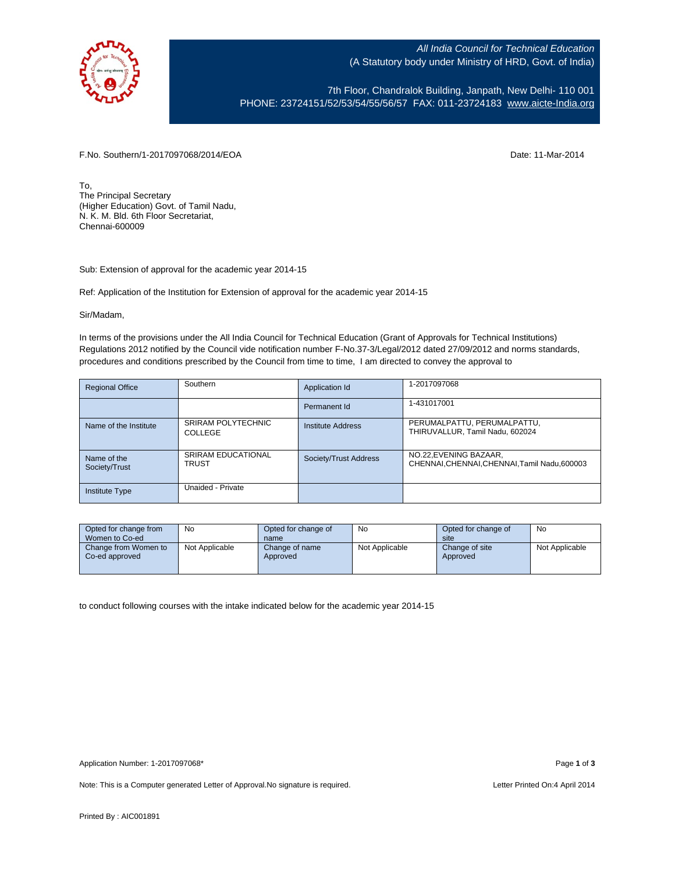

All India Council for Technical Education (A Statutory body under Ministry of HRD, Govt. of India)

7th Floor, Chandralok Building, Janpath, New Delhi- 110 001 PHONE: 23724151/52/53/54/55/56/57 FAX: 011-23724183 [www.aicte-India.org](http://www.aicte-india.org/)

F.No. Southern/1-2017097068/2014/EOA Date: 11-Mar-2014

To, The Principal Secretary (Higher Education) Govt. of Tamil Nadu, N. K. M. Bld. 6th Floor Secretariat, Chennai-600009

Sub: Extension of approval for the academic year 2014-15

Ref: Application of the Institution for Extension of approval for the academic year 2014-15

Sir/Madam,

In terms of the provisions under the All India Council for Technical Education (Grant of Approvals for Technical Institutions) Regulations 2012 notified by the Council vide notification number F-No.37-3/Legal/2012 dated 27/09/2012 and norms standards, procedures and conditions prescribed by the Council from time to time, I am directed to convey the approval to

| <b>Regional Office</b>       | Southern                                  | Application Id           | 1-2017097068                                                            |
|------------------------------|-------------------------------------------|--------------------------|-------------------------------------------------------------------------|
|                              |                                           | Permanent Id             | 1-431017001                                                             |
| Name of the Institute        | SRIRAM POLYTECHNIC<br>COLLEGE             | <b>Institute Address</b> | PERUMALPATTU, PERUMALPATTU,<br>THIRUVALLUR, Tamil Nadu, 602024          |
| Name of the<br>Society/Trust | <b>SRIRAM EDUCATIONAL</b><br><b>TRUST</b> | Society/Trust Address    | NO.22, EVENING BAZAAR,<br>CHENNAI, CHENNAI, CHENNAI, Tamil Nadu, 600003 |
| <b>Institute Type</b>        | Unaided - Private                         |                          |                                                                         |

| Opted for change from<br>Women to Co-ed | No             | Opted for change of<br>name | No             | Opted for change of<br>site | No             |
|-----------------------------------------|----------------|-----------------------------|----------------|-----------------------------|----------------|
| Change from Women to<br>Co-ed approved  | Not Applicable | Change of name<br>Approved  | Not Applicable | Change of site<br>Approved  | Not Applicable |

to conduct following courses with the intake indicated below for the academic year 2014-15

Note: This is a Computer generated Letter of Approval. No signature is required. <br>
Note: This is a Computer generated Letter of Approval. No signature is required.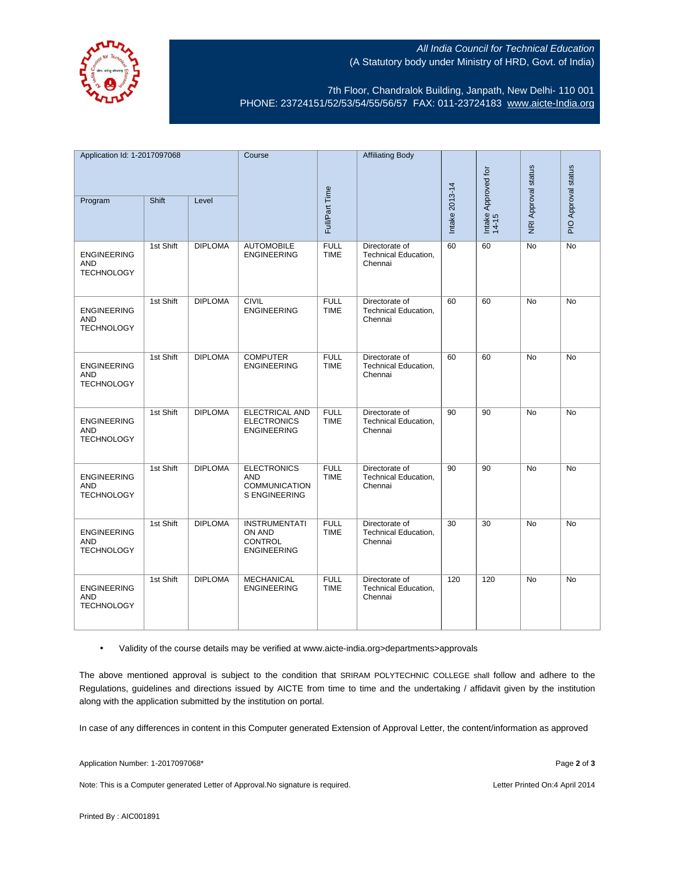

## All India Council for Technical Education (A Statutory body under Ministry of HRD, Govt. of India)

7th Floor, Chandralok Building, Janpath, New Delhi- 110 001 PHONE: 23724151/52/53/54/55/56/57 FAX: 011-23724183 [www.aicte-India.org](http://www.aicte-india.org/)

| Application Id: 1-2017097068                          |           | Course         |                                                                                  | <b>Affiliating Body</b>    |                                                          |                |                              |                     |                     |
|-------------------------------------------------------|-----------|----------------|----------------------------------------------------------------------------------|----------------------------|----------------------------------------------------------|----------------|------------------------------|---------------------|---------------------|
| Program                                               | Shift     | Level          | Full/Part Time                                                                   |                            |                                                          | Intake 2013-14 | Intake Approved for<br>14-15 | NRI Approval status | PIO Approval status |
| <b>ENGINEERING</b><br><b>AND</b><br><b>TECHNOLOGY</b> | 1st Shift | <b>DIPLOMA</b> | <b>AUTOMOBILE</b><br><b>ENGINEERING</b>                                          | <b>FULL</b><br><b>TIME</b> | Directorate of<br>Technical Education,<br>Chennai        | 60             | 60                           | No                  | No                  |
| <b>ENGINEERING</b><br><b>AND</b><br><b>TECHNOLOGY</b> | 1st Shift | <b>DIPLOMA</b> | <b>CIVIL</b><br><b>ENGINEERING</b>                                               | <b>FULL</b><br><b>TIME</b> | Directorate of<br>Technical Education,<br>Chennai        | 60             | 60                           | <b>No</b>           | <b>No</b>           |
| <b>ENGINEERING</b><br><b>AND</b><br><b>TECHNOLOGY</b> | 1st Shift | <b>DIPLOMA</b> | <b>COMPUTER</b><br><b>ENGINEERING</b>                                            | <b>FULL</b><br><b>TIME</b> | Directorate of<br>Technical Education,<br>Chennai        | 60             | 60                           | <b>No</b>           | <b>No</b>           |
| <b>ENGINEERING</b><br><b>AND</b><br><b>TECHNOLOGY</b> | 1st Shift | <b>DIPLOMA</b> | <b>ELECTRICAL AND</b><br><b>ELECTRONICS</b><br><b>ENGINEERING</b>                | <b>FULL</b><br><b>TIME</b> | Directorate of<br>Technical Education,<br>Chennai        | 90             | 90                           | No                  | No                  |
| <b>ENGINEERING</b><br><b>AND</b><br><b>TECHNOLOGY</b> | 1st Shift | <b>DIPLOMA</b> | <b>ELECTRONICS</b><br><b>AND</b><br><b>COMMUNICATION</b><br><b>S ENGINEERING</b> | <b>FULL</b><br><b>TIME</b> | Directorate of<br><b>Technical Education,</b><br>Chennai | 90             | 90                           | <b>No</b>           | No                  |
| <b>ENGINEERING</b><br><b>AND</b><br><b>TECHNOLOGY</b> | 1st Shift | <b>DIPLOMA</b> | <b>INSTRUMENTATI</b><br>ON AND<br>CONTROL<br><b>ENGINEERING</b>                  | <b>FULL</b><br><b>TIME</b> | Directorate of<br>Technical Education,<br>Chennai        | 30             | 30                           | <b>No</b>           | <b>No</b>           |
| <b>ENGINEERING</b><br><b>AND</b><br><b>TECHNOLOGY</b> | 1st Shift | <b>DIPLOMA</b> | <b>MECHANICAL</b><br><b>ENGINEERING</b>                                          | <b>FULL</b><br><b>TIME</b> | Directorate of<br>Technical Education,<br>Chennai        | 120            | 120                          | <b>No</b>           | <b>No</b>           |

• Validity of the course details may be verified at www.aicte-india.org>departments>approvals

The above mentioned approval is subject to the condition that SRIRAM POLYTECHNIC COLLEGE shall follow and adhere to the Regulations, guidelines and directions issued by AICTE from time to time and the undertaking / affidavit given by the institution along with the application submitted by the institution on portal.

In case of any differences in content in this Computer generated Extension of Approval Letter, the content/information as approved

Application Number: 1-2017097068\* Page **2** of **3**

Note: This is a Computer generated Letter of Approval.No signature is required. <br>
Note: This is a Computer generated Letter of Approval.No signature is required.

Printed By : AIC001891